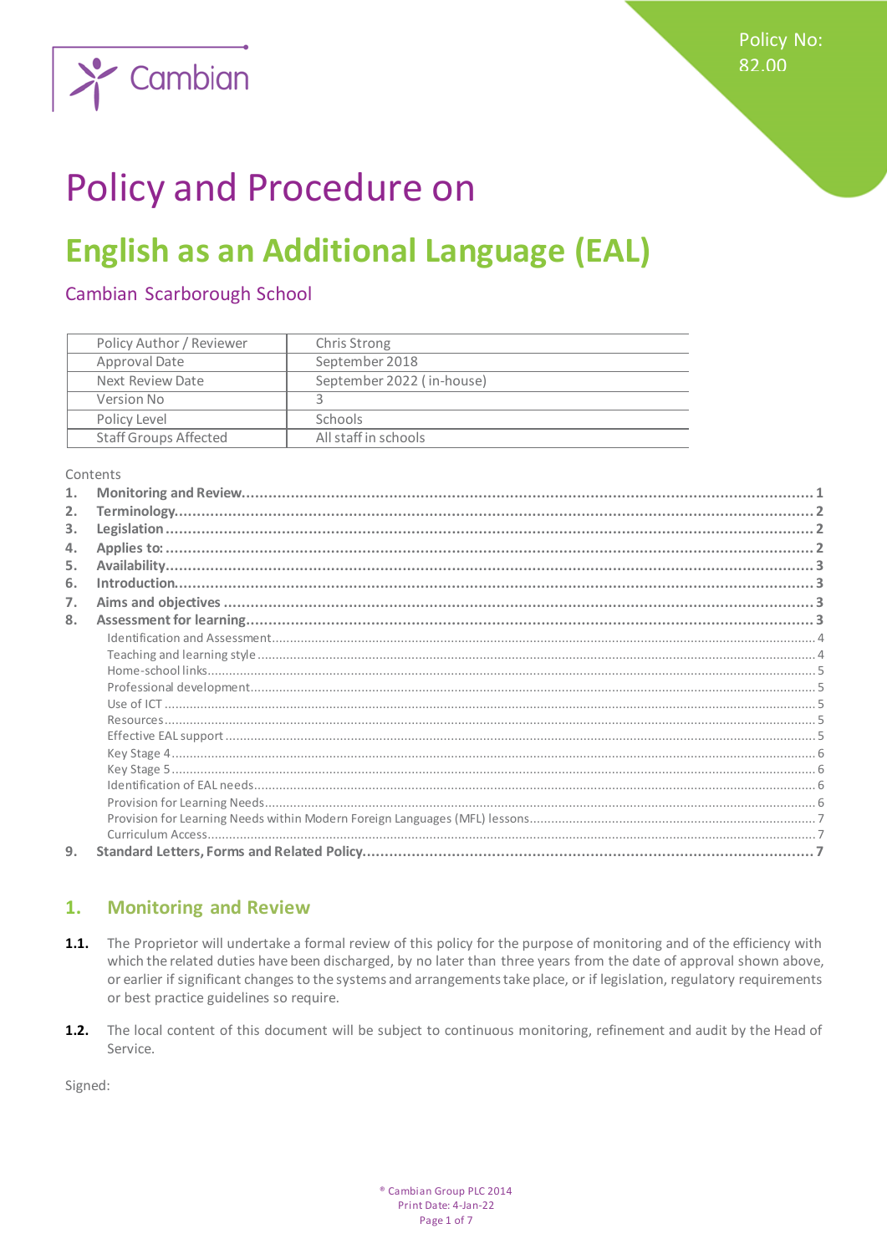

# **Policy and Procedure on**

# **English as an Additional Language (EAL)**

# Cambian Scarborough School

| Policy Author / Reviewer     | Chris Strong              |
|------------------------------|---------------------------|
| Approval Date                | September 2018            |
| Next Review Date             | September 2022 (in-house) |
| Version No                   |                           |
| Policy Level                 | <b>Schools</b>            |
| <b>Staff Groups Affected</b> | All staff in schools      |

Contents

| 1. |  |
|----|--|
| 2. |  |
| 3. |  |
| 4. |  |
| 5. |  |
| 6. |  |
| 7. |  |
| 8. |  |
|    |  |
|    |  |
|    |  |
|    |  |
|    |  |
|    |  |
|    |  |
|    |  |
|    |  |
|    |  |
|    |  |
|    |  |
|    |  |
| 9. |  |

#### <span id="page-0-0"></span>1. **Monitoring and Review**

- $1.1.$ The Proprietor will undertake a formal review of this policy for the purpose of monitoring and of the efficiency with which the related duties have been discharged, by no later than three years from the date of approval shown above, or earlier if significant changes to the systems and arrangements take place, or if legislation, regulatory requirements or best practice guidelines so require.
- $1.2.$ The local content of this document will be subject to continuous monitoring, refinement and audit by the Head of Service.

Signed: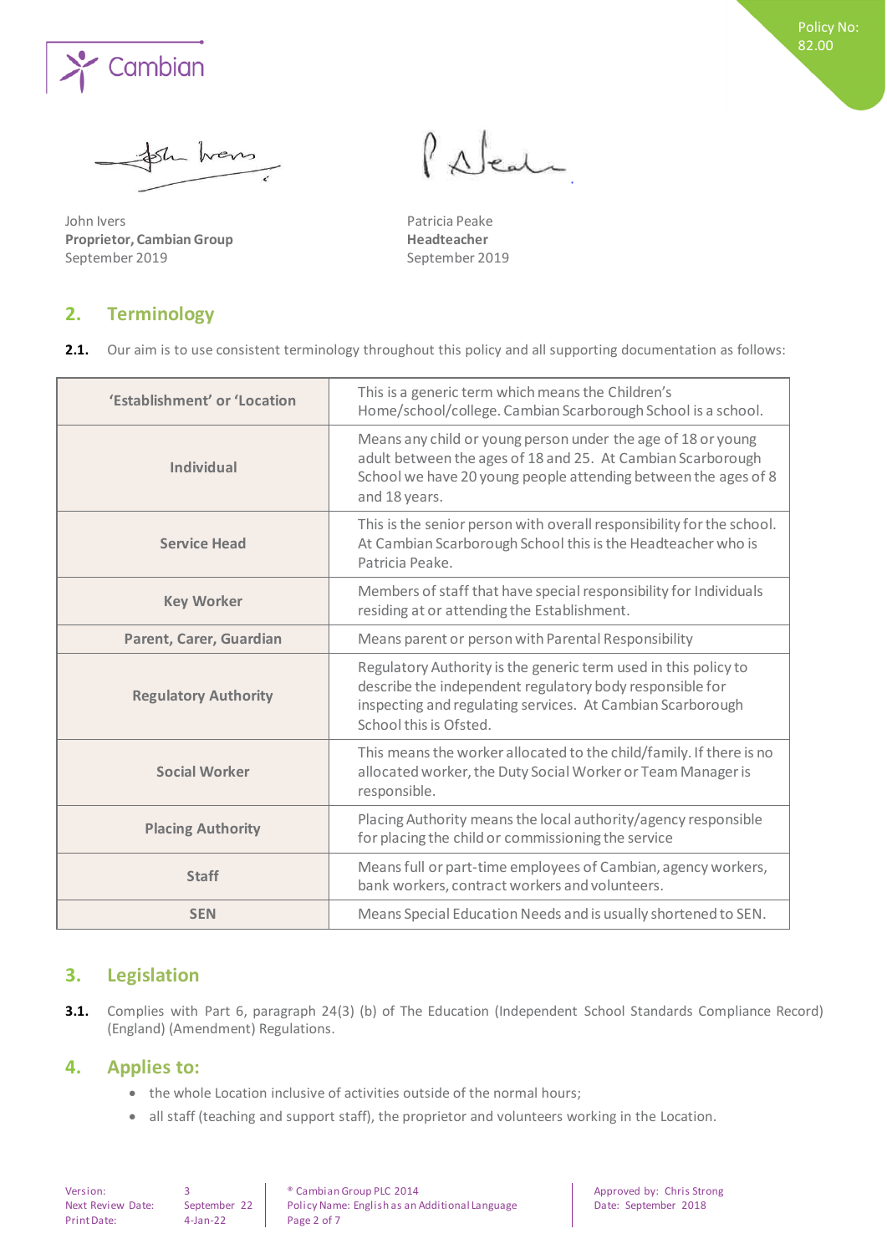

the trens

John Ivers **Patricia Peake Proprietor, Cambian Group Headteacher** September 2019 September 2019

<span id="page-1-0"></span>**2. Terminology** 

# Palent

2.1. Our aim is to use consistent terminology throughout this policy and all supporting documentation as follows:

| 'Establishment' or 'Location | This is a generic term which means the Children's<br>Home/school/college. Cambian Scarborough School is a school.                                                                                                   |
|------------------------------|---------------------------------------------------------------------------------------------------------------------------------------------------------------------------------------------------------------------|
| <b>Individual</b>            | Means any child or young person under the age of 18 or young<br>adult between the ages of 18 and 25. At Cambian Scarborough<br>School we have 20 young people attending between the ages of 8<br>and 18 years.      |
| <b>Service Head</b>          | This is the senior person with overall responsibility for the school.<br>At Cambian Scarborough School this is the Headteacher who is<br>Patricia Peake.                                                            |
| <b>Key Worker</b>            | Members of staff that have special responsibility for Individuals<br>residing at or attending the Establishment.                                                                                                    |
| Parent, Carer, Guardian      | Means parent or person with Parental Responsibility                                                                                                                                                                 |
| <b>Regulatory Authority</b>  | Regulatory Authority is the generic term used in this policy to<br>describe the independent regulatory body responsible for<br>inspecting and regulating services. At Cambian Scarborough<br>School this is Ofsted. |
| <b>Social Worker</b>         | This means the worker allocated to the child/family. If there is no<br>allocated worker, the Duty Social Worker or Team Manager is<br>responsible.                                                                  |
| <b>Placing Authority</b>     | Placing Authority means the local authority/agency responsible<br>for placing the child or commissioning the service                                                                                                |
| <b>Staff</b>                 | Means full or part-time employees of Cambian, agency workers,<br>bank workers, contract workers and volunteers.                                                                                                     |
| <b>SEN</b>                   | Means Special Education Needs and is usually shortened to SEN.                                                                                                                                                      |

# <span id="page-1-1"></span>**3. Legislation**

**3.1.** Complies with Part 6, paragraph 24(3) (b) of The Education (Independent School Standards Compliance Record) (England) (Amendment) Regulations.

### <span id="page-1-2"></span>**4. Applies to:**

- the whole Location inclusive of activities outside of the normal hours;
- all staff (teaching and support staff), the proprietor and volunteers working in the Location.

Print Date: 4-Jan-22 Page 2 of 7

Version: 3 8 8 8 9 2014 **Cambian Group PLC 2014** Approved by: Chris Strong Next Review Date: September 22 Policy Name: English as an Additional Language Date: September 2018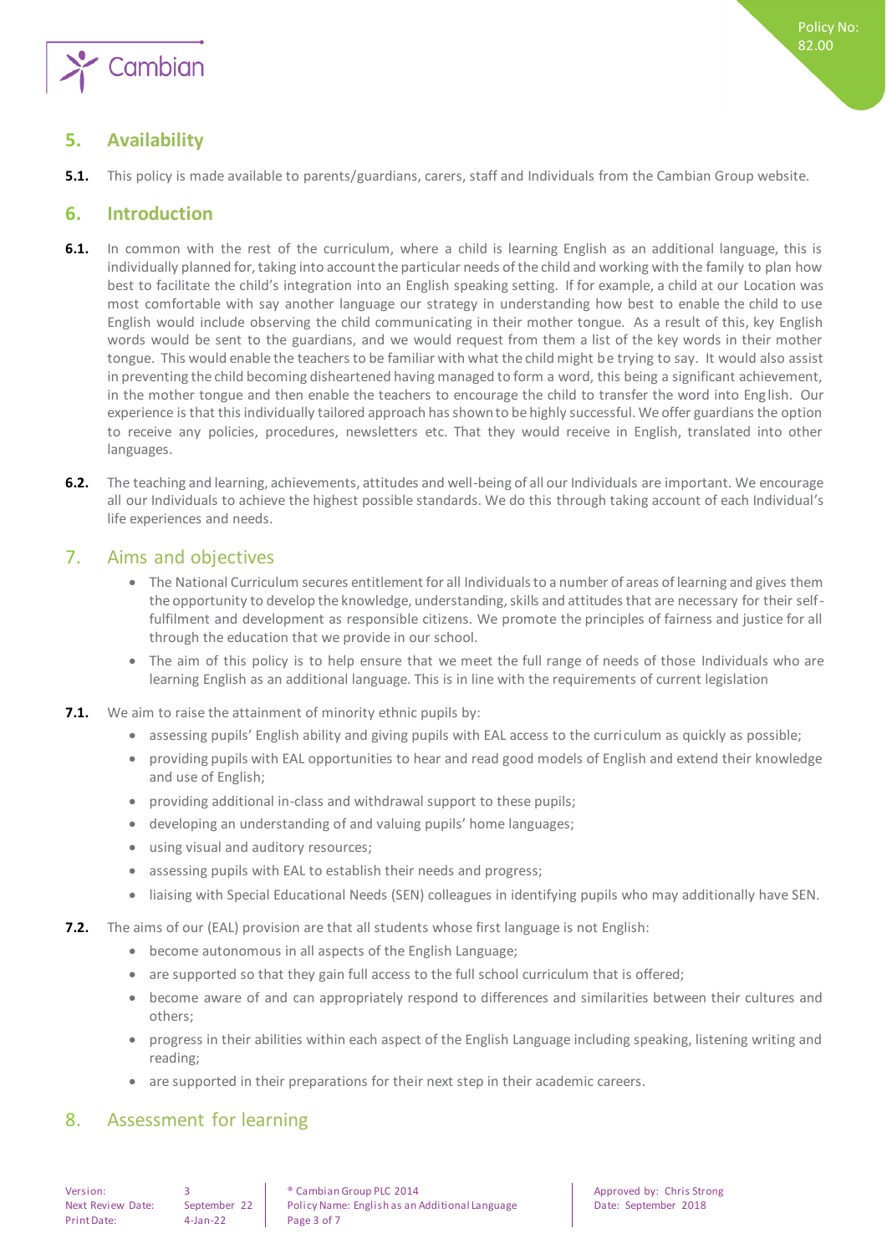

# <span id="page-2-0"></span>**5. Availability**

**5.1.** This policy is made available to parents/guardians, carers, staff and Individuals from the Cambian Group website.

# <span id="page-2-1"></span>**6. Introduction**

- **6.1.** In common with the rest of the curriculum, where a child is learning English as an additional language, this is individually planned for, taking into account the particular needs of the child and working with the family to plan how best to facilitate the child's integration into an English speaking setting. If for example, a child at our Location was most comfortable with say another language our strategy in understanding how best to enable the child to use English would include observing the child communicating in their mother tongue. As a result of this, key English words would be sent to the guardians, and we would request from them a list of the key words in their mother tongue. This would enable the teachers to be familiar with what the child might be trying to say. It would also assist in preventing the child becoming disheartened having managed to form a word, this being a significant achievement, in the mother tongue and then enable the teachers to encourage the child to transfer the word into English. Our experience is that this individually tailored approach has shown to be highly successful. We offer guardians the option to receive any policies, procedures, newsletters etc. That they would receive in English, translated into other languages.
- **6.2.** The teaching and learning, achievements, attitudes and well-being of all our Individuals are important. We encourage all our Individuals to achieve the highest possible standards. We do this through taking account of each Individual's life experiences and needs.

# <span id="page-2-2"></span>7. Aims and objectives

- The National Curriculum secures entitlement for all Individualsto a number of areas of learning and gives them the opportunity to develop the knowledge, understanding, skills and attitudes that are necessary for their selffulfilment and development as responsible citizens. We promote the principles of fairness and justice for all through the education that we provide in our school.
- The aim of this policy is to help ensure that we meet the full range of needs of those Individuals who are learning English as an additional language. This is in line with the requirements of current legislation
- **7.1.** We aim to raise the attainment of minority ethnic pupils by:
	- assessing pupils' English ability and giving pupils with EAL access to the curriculum as quickly as possible;
	- providing pupils with EAL opportunities to hear and read good models of English and extend their knowledge and use of English;
	- providing additional in-class and withdrawal support to these pupils;
	- developing an understanding of and valuing pupils' home languages;
	- using visual and auditory resources;
	- assessing pupils with EAL to establish their needs and progress;
	- liaising with Special Educational Needs (SEN) colleagues in identifying pupils who may additionally have SEN.
- **7.2.** The aims of our (EAL) provision are that all students whose first language is not English:
	- become autonomous in all aspects of the English Language;
	- are supported so that they gain full access to the full school curriculum that is offered;
	- become aware of and can appropriately respond to differences and similarities between their cultures and others;
	- progress in their abilities within each aspect of the English Language including speaking, listening writing and reading;
	- are supported in their preparations for their next step in their academic careers.

# <span id="page-2-3"></span>8. Assessment for learning

Print Date: 4-Jan-22 Page 3 of 7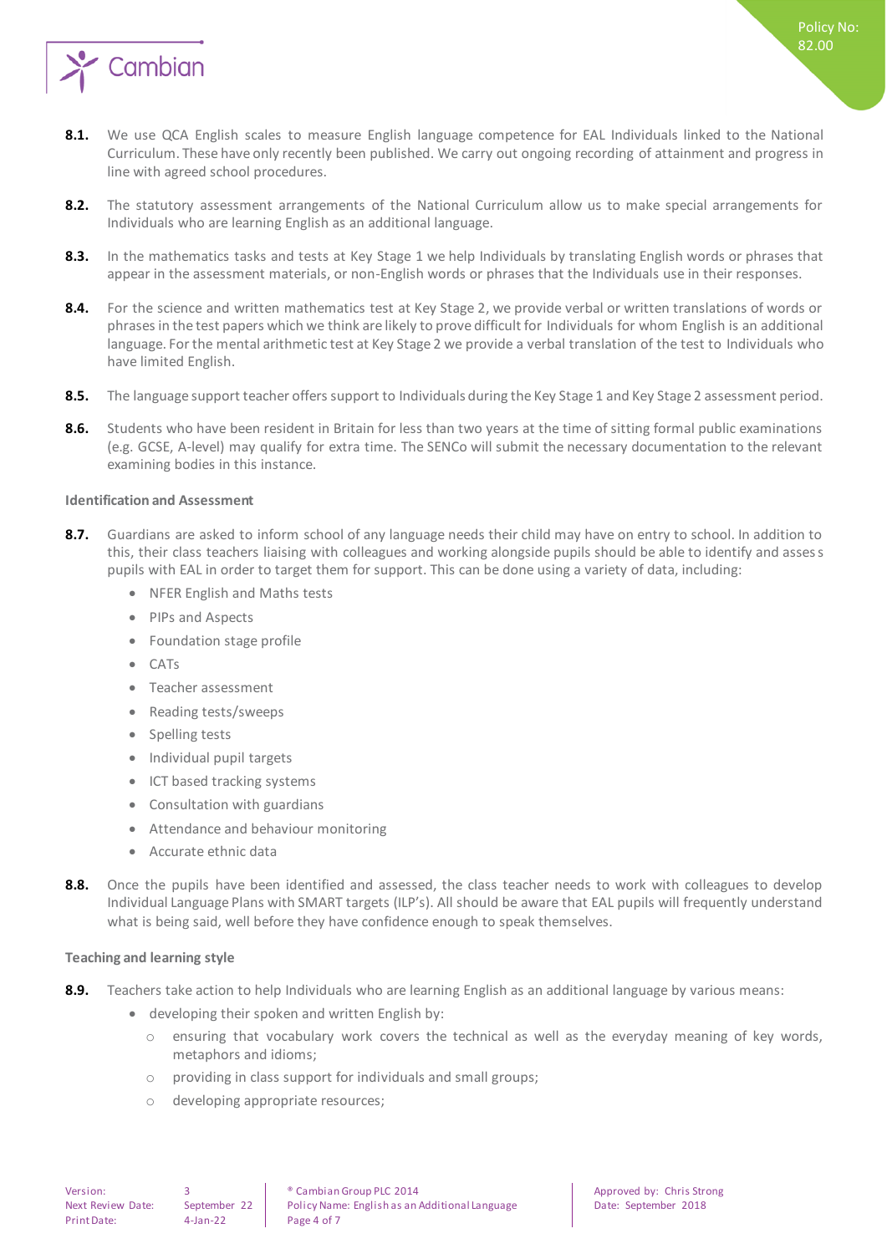

- **8.1.** We use QCA English scales to measure English language competence for EAL Individuals linked to the National Curriculum. These have only recently been published. We carry out ongoing recording of attainment and progress in line with agreed school procedures.
- **8.2.** The statutory assessment arrangements of the National Curriculum allow us to make special arrangements for Individuals who are learning English as an additional language.
- 8.3. In the mathematics tasks and tests at Key Stage 1 we help Individuals by translating English words or phrases that appear in the assessment materials, or non-English words or phrases that the Individuals use in their responses.
- 8.4. For the science and written mathematics test at Key Stage 2, we provide verbal or written translations of words or phrases in the test papers which we think are likely to prove difficult for Individuals for whom English is an additional language. For the mental arithmetic test at Key Stage 2 we provide a verbal translation of the test to Individuals who have limited English.
- **8.5.** The language support teacher offers support to Individuals during the Key Stage 1 and Key Stage 2 assessment period.
- **8.6.** Students who have been resident in Britain for less than two years at the time of sitting formal public examinations (e.g. GCSE, A-level) may qualify for extra time. The SENCo will submit the necessary documentation to the relevant examining bodies in this instance.

#### <span id="page-3-0"></span>**Identification and Assessment**

- **8.7.** Guardians are asked to inform school of any language needs their child may have on entry to school. In addition to this, their class teachers liaising with colleagues and working alongside pupils should be able to identify and assess pupils with EAL in order to target them for support. This can be done using a variety of data, including:
	- NFER English and Maths tests
	- PIPs and Aspects
	- Foundation stage profile
	- $C \Delta Tc$
	- Teacher assessment
	- Reading tests/sweeps
	- Spelling tests
	- Individual pupil targets
	- ICT based tracking systems
	- Consultation with guardians
	- Attendance and behaviour monitoring
	- Accurate ethnic data
- **8.8.** Once the pupils have been identified and assessed, the class teacher needs to work with colleagues to develop Individual Language Plans with SMART targets (ILP's). All should be aware that EAL pupils will frequently understand what is being said, well before they have confidence enough to speak themselves.

#### <span id="page-3-1"></span>**Teaching and learning style**

- **8.9.** Teachers take action to help Individuals who are learning English as an additional language by various means:
	- developing their spoken and written English by:
		- o ensuring that vocabulary work covers the technical as well as the everyday meaning of key words, metaphors and idioms;
		- o providing in class support for individuals and small groups;
		- o developing appropriate resources;

Policy No: 82.00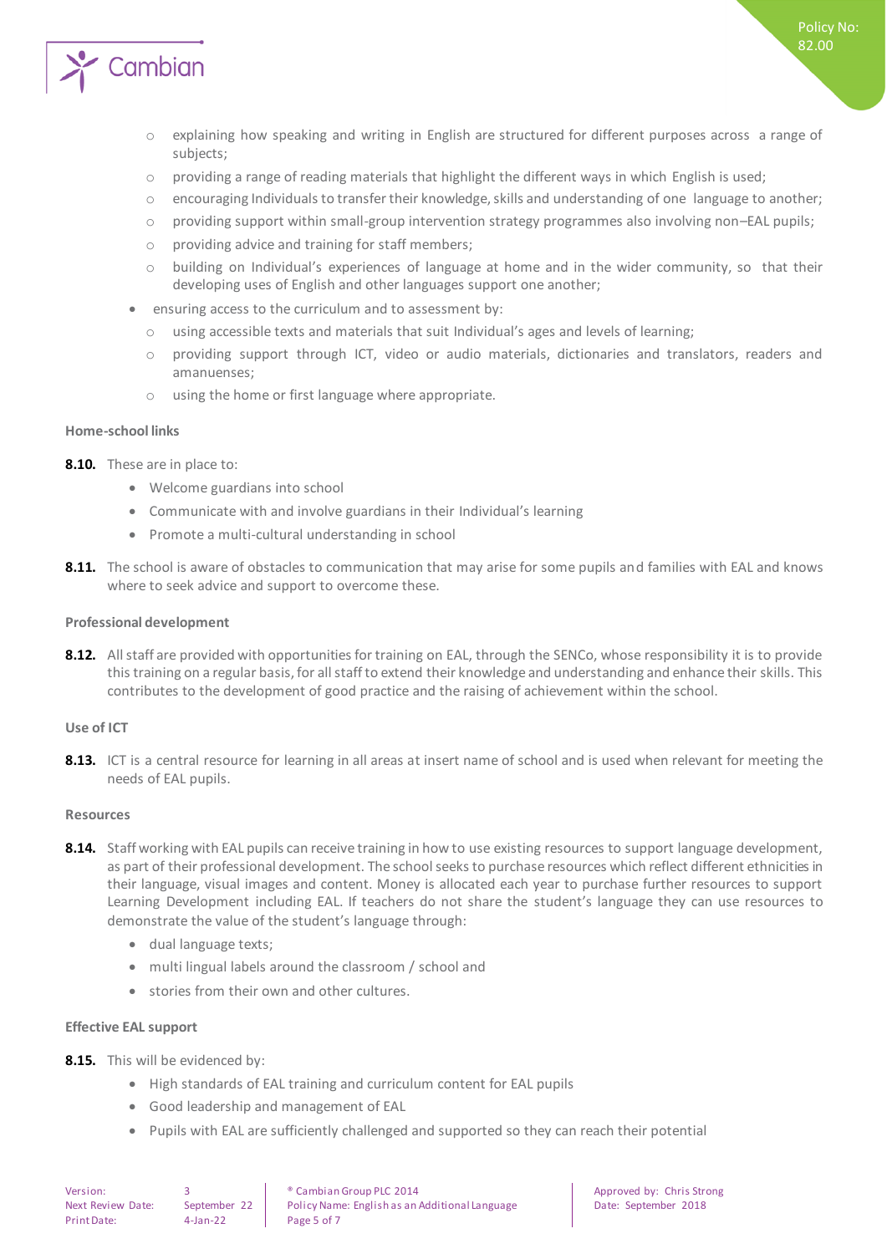

- o explaining how speaking and writing in English are structured for different purposes across a range of subjects;
- o providing a range of reading materials that highlight the different ways in which English is used;
- o encouraging Individuals to transfer their knowledge, skills and understanding of one language to another;
- o providing support within small-group intervention strategy programmes also involving non–EAL pupils;
- o providing advice and training for staff members;
- o building on Individual's experiences of language at home and in the wider community, so that their developing uses of English and other languages support one another;
- ensuring access to the curriculum and to assessment by:
	- o using accessible texts and materials that suit Individual's ages and levels of learning;
	- o providing support through ICT, video or audio materials, dictionaries and translators, readers and amanuenses;
	- o using the home or first language where appropriate.

#### <span id="page-4-0"></span>**Home-school links**

- **8.10.** These are in place to:
	- Welcome guardians into school
	- Communicate with and involve guardians in their Individual's learning
	- Promote a multi-cultural understanding in school
- **8.11.** The school is aware of obstacles to communication that may arise for some pupils and families with EAL and knows where to seek advice and support to overcome these.

#### <span id="page-4-1"></span>**Professional development**

**8.12.** All staff are provided with opportunities for training on EAL, through the SENCo, whose responsibility it is to provide this training on a regular basis, for all staff to extend their knowledge and understanding and enhance their skills. This contributes to the development of good practice and the raising of achievement within the school.

#### <span id="page-4-2"></span>**Use of ICT**

8.13. ICT is a central resource for learning in all areas at insert name of school and is used when relevant for meeting the needs of EAL pupils.

#### <span id="page-4-3"></span>**Resources**

- **8.14.** Staff working with EAL pupils can receive training in how to use existing resources to support language development, as part of their professional development. The school seeks to purchase resources which reflect different ethnicities in their language, visual images and content. Money is allocated each year to purchase further resources to support Learning Development including EAL. If teachers do not share the student's language they can use resources to demonstrate the value of the student's language through:
	- dual language texts;
	- multi lingual labels around the classroom / school and
	- stories from their own and other cultures.

#### <span id="page-4-4"></span>**Effective EAL support**

- **8.15.** This will be evidenced by:
	- High standards of EAL training and curriculum content for EAL pupils
	- Good leadership and management of EAL
	- Pupils with EAL are sufficiently challenged and supported so they can reach their potential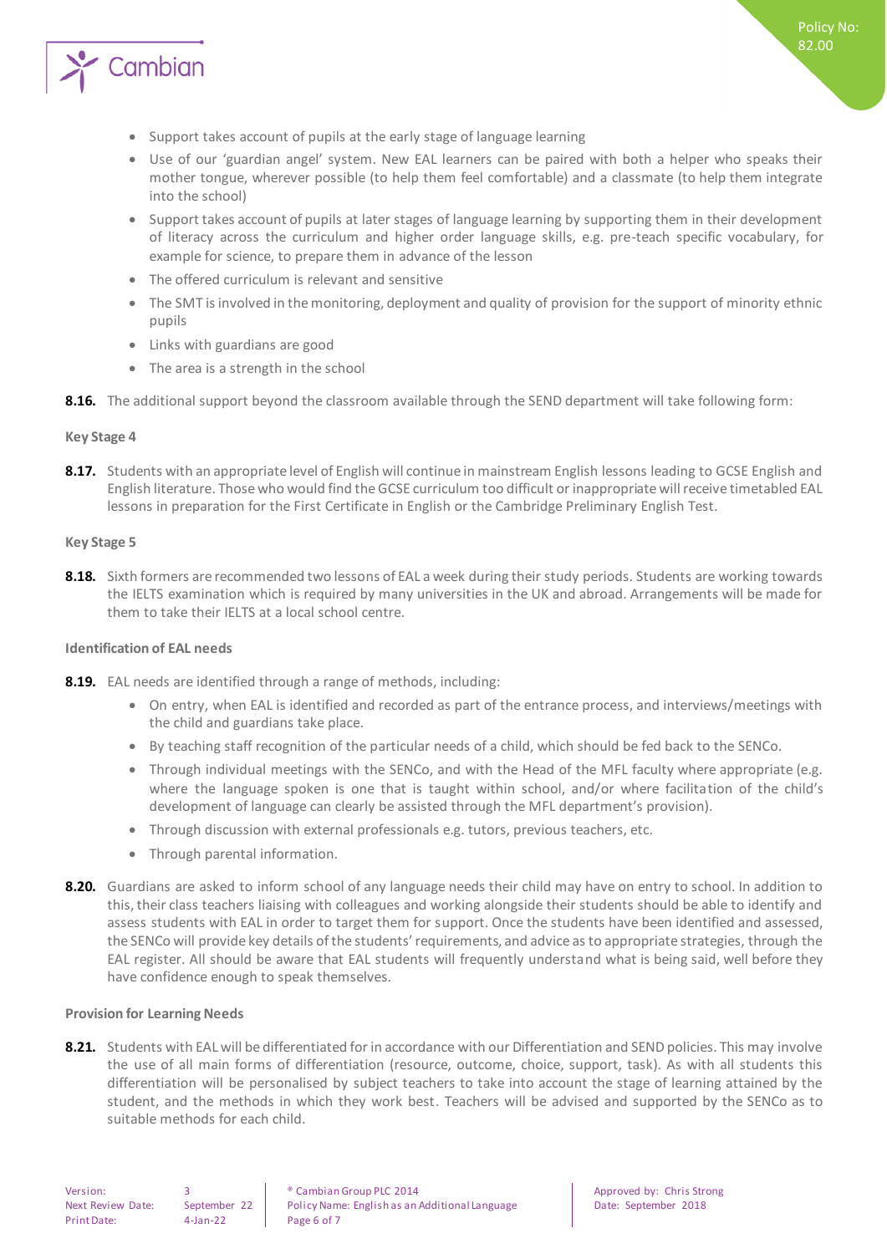

- Support takes account of pupils at the early stage of language learning
- Use of our 'guardian angel' system. New EAL learners can be paired with both a helper who speaks their mother tongue, wherever possible (to help them feel comfortable) and a classmate (to help them integrate into the school)
- Support takes account of pupils at later stages of language learning by supporting them in their development of literacy across the curriculum and higher order language skills, e.g. pre-teach specific vocabulary, for example for science, to prepare them in advance of the lesson
- The offered curriculum is relevant and sensitive
- The SMT is involved in the monitoring, deployment and quality of provision for the support of minority ethnic pupils
- Links with guardians are good
- The area is a strength in the school
- <span id="page-5-0"></span>**8.16.** The additional support beyond the classroom available through the SEND department will take following form:

#### **Key Stage 4**

**8.17.** Students with an appropriate level of English will continue in mainstream English lessons leading to GCSE English and English literature. Those who would find the GCSE curriculum too difficult or inappropriate will receive timetabled EAL lessons in preparation for the First Certificate in English or the Cambridge Preliminary English Test.

#### <span id="page-5-1"></span>**Key Stage 5**

**8.18.** Sixth formers are recommended two lessons of EAL a week during their study periods. Students are working towards the IELTS examination which is required by many universities in the UK and abroad. Arrangements will be made for them to take their IELTS at a local school centre.

#### <span id="page-5-2"></span>**Identification of EAL needs**

- **8.19.** EAL needs are identified through a range of methods, including:
	- On entry, when EAL is identified and recorded as part of the entrance process, and interviews/meetings with the child and guardians take place.
	- By teaching staff recognition of the particular needs of a child, which should be fed back to the SENCo.
	- Through individual meetings with the SENCo, and with the Head of the MFL faculty where appropriate (e.g. where the language spoken is one that is taught within school, and/or where facilitation of the child's development of language can clearly be assisted through the MFL department's provision).
	- Through discussion with external professionals e.g. tutors, previous teachers, etc.
	- Through parental information.
- **8.20.** Guardians are asked to inform school of any language needs their child may have on entry to school. In addition to this, their class teachers liaising with colleagues and working alongside their students should be able to identify and assess students with EAL in order to target them for support. Once the students have been identified and assessed, the SENCo will provide key details of the students' requirements, and advice as to appropriate strategies, through the EAL register. All should be aware that EAL students will frequently understand what is being said, well before they have confidence enough to speak themselves.

#### <span id="page-5-3"></span>**Provision for Learning Needs**

**8.21.** Students with EAL will be differentiated for in accordance with our Differentiation and SEND policies. This may involve the use of all main forms of differentiation (resource, outcome, choice, support, task). As with all students this differentiation will be personalised by subject teachers to take into account the stage of learning attained by the student, and the methods in which they work best. Teachers will be advised and supported by the SENCo as to suitable methods for each child.

Print Date: 4-Jan-22 Page 6 of 7

Version: 3 ® Cambian Group PLC 2014 Approved by: Chris Strong Next Review Date: September 22 Policy Name: English as an Additional Language Date: September 2018